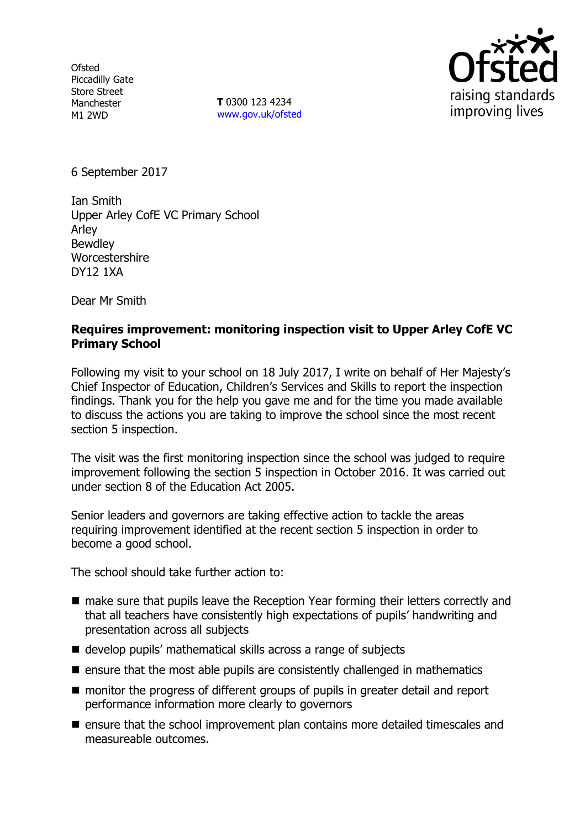**Ofsted** Piccadilly Gate Store Street Manchester M1 2WD

**T** 0300 123 4234 www.gov.uk/ofsted



6 September 2017

Ian Smith Upper Arley CofE VC Primary School Arley Bewdley Worcestershire DY12 1XA

Dear Mr Smith

## **Requires improvement: monitoring inspection visit to Upper Arley CofE VC Primary School**

Following my visit to your school on 18 July 2017, I write on behalf of Her Majesty's Chief Inspector of Education, Children's Services and Skills to report the inspection findings. Thank you for the help you gave me and for the time you made available to discuss the actions you are taking to improve the school since the most recent section 5 inspection.

The visit was the first monitoring inspection since the school was judged to require improvement following the section 5 inspection in October 2016. It was carried out under section 8 of the Education Act 2005.

Senior leaders and governors are taking effective action to tackle the areas requiring improvement identified at the recent section 5 inspection in order to become a good school.

The school should take further action to:

- make sure that pupils leave the Reception Year forming their letters correctly and that all teachers have consistently high expectations of pupils' handwriting and presentation across all subjects
- develop pupils' mathematical skills across a range of subjects
- $\blacksquare$  ensure that the most able pupils are consistently challenged in mathematics
- monitor the progress of different groups of pupils in greater detail and report performance information more clearly to governors
- $\blacksquare$  ensure that the school improvement plan contains more detailed timescales and measureable outcomes.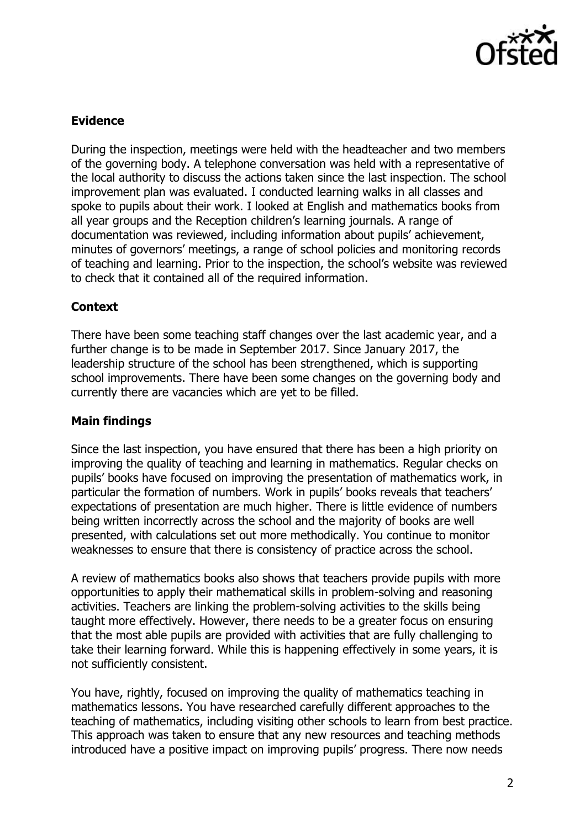

# **Evidence**

During the inspection, meetings were held with the headteacher and two members of the governing body. A telephone conversation was held with a representative of the local authority to discuss the actions taken since the last inspection. The school improvement plan was evaluated. I conducted learning walks in all classes and spoke to pupils about their work. I looked at English and mathematics books from all year groups and the Reception children's learning journals. A range of documentation was reviewed, including information about pupils' achievement, minutes of governors' meetings, a range of school policies and monitoring records of teaching and learning. Prior to the inspection, the school's website was reviewed to check that it contained all of the required information.

## **Context**

There have been some teaching staff changes over the last academic year, and a further change is to be made in September 2017. Since January 2017, the leadership structure of the school has been strengthened, which is supporting school improvements. There have been some changes on the governing body and currently there are vacancies which are yet to be filled.

### **Main findings**

Since the last inspection, you have ensured that there has been a high priority on improving the quality of teaching and learning in mathematics. Regular checks on pupils' books have focused on improving the presentation of mathematics work, in particular the formation of numbers. Work in pupils' books reveals that teachers' expectations of presentation are much higher. There is little evidence of numbers being written incorrectly across the school and the majority of books are well presented, with calculations set out more methodically. You continue to monitor weaknesses to ensure that there is consistency of practice across the school.

A review of mathematics books also shows that teachers provide pupils with more opportunities to apply their mathematical skills in problem-solving and reasoning activities. Teachers are linking the problem-solving activities to the skills being taught more effectively. However, there needs to be a greater focus on ensuring that the most able pupils are provided with activities that are fully challenging to take their learning forward. While this is happening effectively in some years, it is not sufficiently consistent.

You have, rightly, focused on improving the quality of mathematics teaching in mathematics lessons. You have researched carefully different approaches to the teaching of mathematics, including visiting other schools to learn from best practice. This approach was taken to ensure that any new resources and teaching methods introduced have a positive impact on improving pupils' progress. There now needs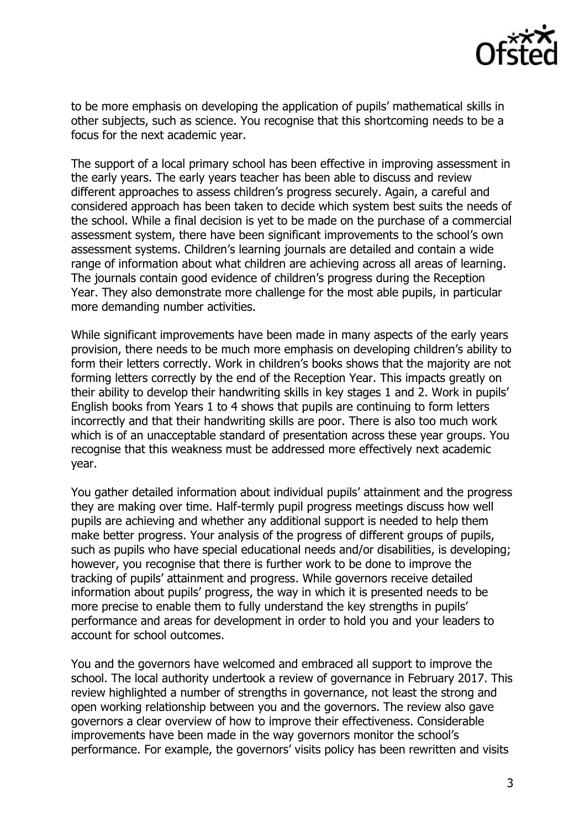

to be more emphasis on developing the application of pupils' mathematical skills in other subjects, such as science. You recognise that this shortcoming needs to be a focus for the next academic year.

The support of a local primary school has been effective in improving assessment in the early years. The early years teacher has been able to discuss and review different approaches to assess children's progress securely. Again, a careful and considered approach has been taken to decide which system best suits the needs of the school. While a final decision is yet to be made on the purchase of a commercial assessment system, there have been significant improvements to the school's own assessment systems. Children's learning journals are detailed and contain a wide range of information about what children are achieving across all areas of learning. The journals contain good evidence of children's progress during the Reception Year. They also demonstrate more challenge for the most able pupils, in particular more demanding number activities.

While significant improvements have been made in many aspects of the early years provision, there needs to be much more emphasis on developing children's ability to form their letters correctly. Work in children's books shows that the majority are not forming letters correctly by the end of the Reception Year. This impacts greatly on their ability to develop their handwriting skills in key stages 1 and 2. Work in pupils' English books from Years 1 to 4 shows that pupils are continuing to form letters incorrectly and that their handwriting skills are poor. There is also too much work which is of an unacceptable standard of presentation across these year groups. You recognise that this weakness must be addressed more effectively next academic year.

You gather detailed information about individual pupils' attainment and the progress they are making over time. Half-termly pupil progress meetings discuss how well pupils are achieving and whether any additional support is needed to help them make better progress. Your analysis of the progress of different groups of pupils, such as pupils who have special educational needs and/or disabilities, is developing; however, you recognise that there is further work to be done to improve the tracking of pupils' attainment and progress. While governors receive detailed information about pupils' progress, the way in which it is presented needs to be more precise to enable them to fully understand the key strengths in pupils' performance and areas for development in order to hold you and your leaders to account for school outcomes.

You and the governors have welcomed and embraced all support to improve the school. The local authority undertook a review of governance in February 2017. This review highlighted a number of strengths in governance, not least the strong and open working relationship between you and the governors. The review also gave governors a clear overview of how to improve their effectiveness. Considerable improvements have been made in the way governors monitor the school's performance. For example, the governors' visits policy has been rewritten and visits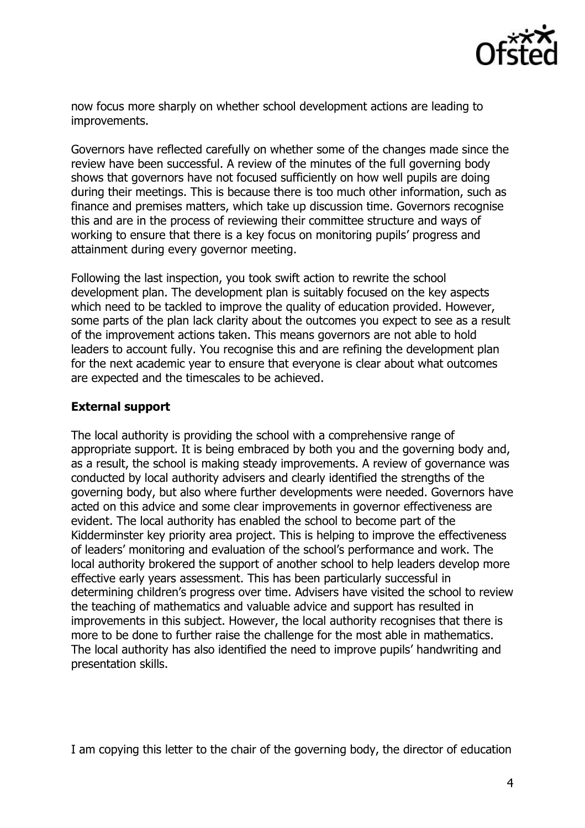

now focus more sharply on whether school development actions are leading to improvements.

Governors have reflected carefully on whether some of the changes made since the review have been successful. A review of the minutes of the full governing body shows that governors have not focused sufficiently on how well pupils are doing during their meetings. This is because there is too much other information, such as finance and premises matters, which take up discussion time. Governors recognise this and are in the process of reviewing their committee structure and ways of working to ensure that there is a key focus on monitoring pupils' progress and attainment during every governor meeting.

Following the last inspection, you took swift action to rewrite the school development plan. The development plan is suitably focused on the key aspects which need to be tackled to improve the quality of education provided. However, some parts of the plan lack clarity about the outcomes you expect to see as a result of the improvement actions taken. This means governors are not able to hold leaders to account fully. You recognise this and are refining the development plan for the next academic year to ensure that everyone is clear about what outcomes are expected and the timescales to be achieved.

## **External support**

The local authority is providing the school with a comprehensive range of appropriate support. It is being embraced by both you and the governing body and, as a result, the school is making steady improvements. A review of governance was conducted by local authority advisers and clearly identified the strengths of the governing body, but also where further developments were needed. Governors have acted on this advice and some clear improvements in governor effectiveness are evident. The local authority has enabled the school to become part of the Kidderminster key priority area project. This is helping to improve the effectiveness of leaders' monitoring and evaluation of the school's performance and work. The local authority brokered the support of another school to help leaders develop more effective early years assessment. This has been particularly successful in determining children's progress over time. Advisers have visited the school to review the teaching of mathematics and valuable advice and support has resulted in improvements in this subject. However, the local authority recognises that there is more to be done to further raise the challenge for the most able in mathematics. The local authority has also identified the need to improve pupils' handwriting and presentation skills.

I am copying this letter to the chair of the governing body, the director of education